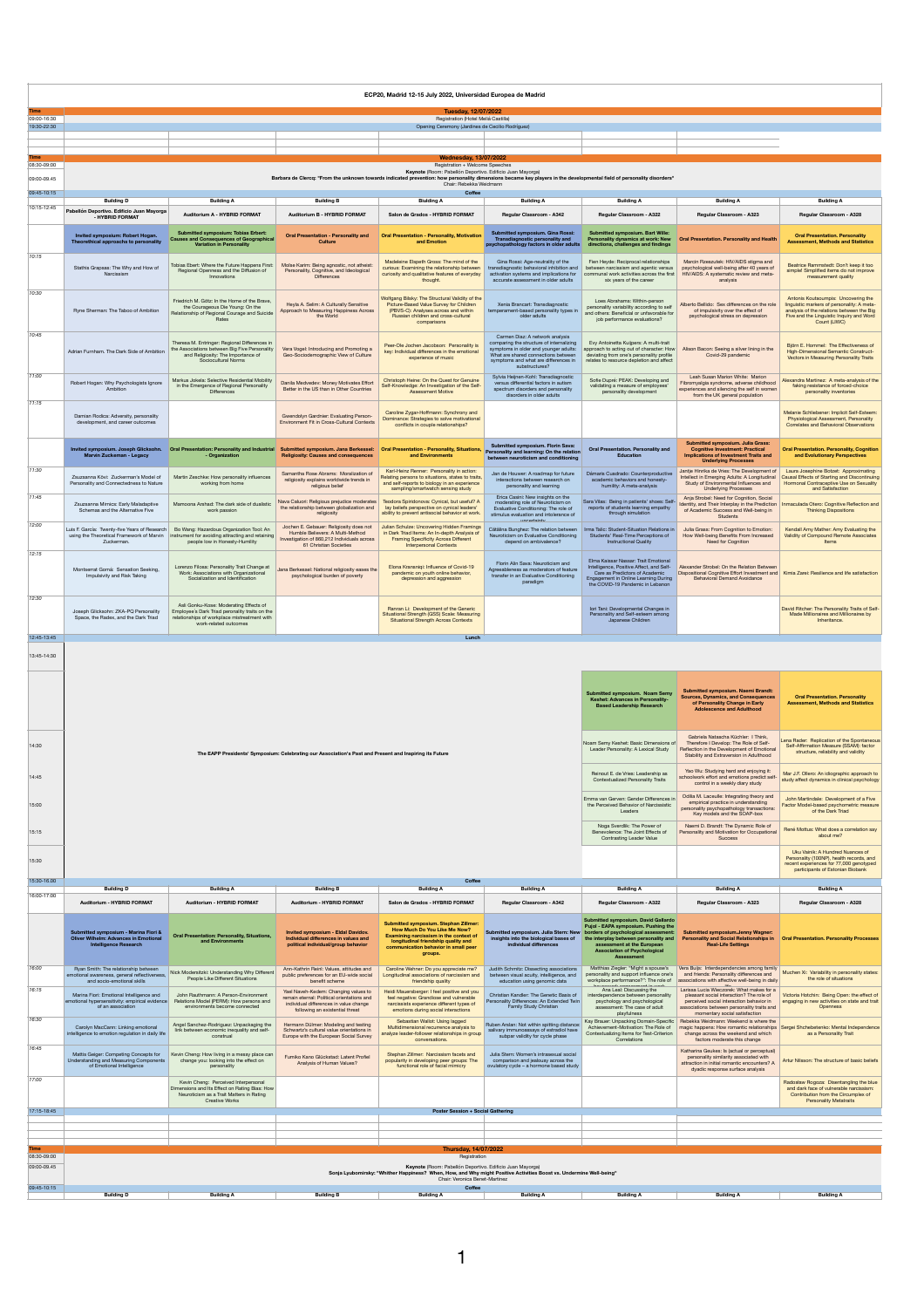|                            | ECP20, Madrid 12-15 July 2022, Universidad Europea de Madrid                                                                                                                                                                                                                                     |                                                                                                                                                                   |                                                                                                                                                                 |                                                                                                                                                                                                       |                                                                                                                                                                                                                      |                                                                                                                                                                                                |                                                                                                                                                                                                                 |                                                                                                                                                                                            |  |
|----------------------------|--------------------------------------------------------------------------------------------------------------------------------------------------------------------------------------------------------------------------------------------------------------------------------------------------|-------------------------------------------------------------------------------------------------------------------------------------------------------------------|-----------------------------------------------------------------------------------------------------------------------------------------------------------------|-------------------------------------------------------------------------------------------------------------------------------------------------------------------------------------------------------|----------------------------------------------------------------------------------------------------------------------------------------------------------------------------------------------------------------------|------------------------------------------------------------------------------------------------------------------------------------------------------------------------------------------------|-----------------------------------------------------------------------------------------------------------------------------------------------------------------------------------------------------------------|--------------------------------------------------------------------------------------------------------------------------------------------------------------------------------------------|--|
| 09:00-16:30                | <b>Tuesday, 12/07/2022</b><br>Registration (Hotel Meliá Castilla)<br>Opening Ceremony (Jardines de Cecilio Rodríguez)                                                                                                                                                                            |                                                                                                                                                                   |                                                                                                                                                                 |                                                                                                                                                                                                       |                                                                                                                                                                                                                      |                                                                                                                                                                                                |                                                                                                                                                                                                                 |                                                                                                                                                                                            |  |
| 19:30-22:30                |                                                                                                                                                                                                                                                                                                  |                                                                                                                                                                   |                                                                                                                                                                 |                                                                                                                                                                                                       |                                                                                                                                                                                                                      |                                                                                                                                                                                                |                                                                                                                                                                                                                 |                                                                                                                                                                                            |  |
| Time                       |                                                                                                                                                                                                                                                                                                  |                                                                                                                                                                   |                                                                                                                                                                 | <b>Wednesday, 13/07/2022</b>                                                                                                                                                                          |                                                                                                                                                                                                                      |                                                                                                                                                                                                |                                                                                                                                                                                                                 |                                                                                                                                                                                            |  |
| 08:30-09:00<br>09:00-09 45 | Registration + Welcome Speeches<br>Keynote (Room: Pabellón Deportivo. Edificio Juan Mayorga)<br>Barbara de Clercq: "From the unknown towards indicated prevention: how personality dimensions became key players in the developmental field of personality disorders"<br>Chair: Rebekka Weidmann |                                                                                                                                                                   |                                                                                                                                                                 |                                                                                                                                                                                                       |                                                                                                                                                                                                                      |                                                                                                                                                                                                |                                                                                                                                                                                                                 |                                                                                                                                                                                            |  |
| 09:45-10:15                | Coffee<br><b>Building A</b><br><b>Building B</b><br><b>Biulding A</b><br><b>Building A</b><br><b>Building A</b><br><b>Building A</b><br><b>Building A</b><br><b>Building D</b>                                                                                                                   |                                                                                                                                                                   |                                                                                                                                                                 |                                                                                                                                                                                                       |                                                                                                                                                                                                                      |                                                                                                                                                                                                |                                                                                                                                                                                                                 |                                                                                                                                                                                            |  |
| 10:15-12:45                | Pabellón Deportivo. Edificio Juan Mayorga<br>- HYBRID FORMAT                                                                                                                                                                                                                                     | Auditorium A - HYBRID FORMAT                                                                                                                                      | Auditorium B - HYBRID FORMAT                                                                                                                                    | Salon de Grados - HYBRID FORMAT                                                                                                                                                                       | Regular Classroom - A342                                                                                                                                                                                             | Regular Classroom - A322                                                                                                                                                                       | Regular Classroom - A323                                                                                                                                                                                        | Regular Classroom - A328                                                                                                                                                                   |  |
|                            | Invited symposium: Robert Hogan.<br>Theorethical approachs to personalit<br>ility                                                                                                                                                                                                                | Submitted symposium: Tobias Erbert:<br>Causes and Consequences of Geographical<br>Variation in Personality                                                        | <b>Oral Presentation - Personality and</b><br>Culture                                                                                                           | <b>Oral Presentation - Personality, Motivation</b><br>and Emotion                                                                                                                                     | Submitted symposium. Gina Rossi:<br>Transdiagnostic personality and<br>psychopathology factors in older adults                                                                                                       | Submitted symposium. Bart Wille:<br>Personality dynamics at work: New<br>directions, challenges and findings                                                                                   | <b>Oral Presentation, Personality and Health</b>                                                                                                                                                                | <b>Oral Presentation. Personality</b><br><b>Assessment, Methods and Statistics</b>                                                                                                         |  |
| 10:15                      | Stathis Grapsas: The Why and How of<br>Narcissism                                                                                                                                                                                                                                                | Tobias Ebert: Where the Future Happens First:<br>Beginnal Openness and the Diffusion of<br>Innovations                                                            | Moïse Karim: Being agnostic, not atheist:<br>Personality, Cognitive, and Ideological<br>Differences                                                             | Madeleine Elspeth Gross: The mind of the<br>curious: Examining the relationship between<br>curiosity and qualitative features of everyday<br>thought.                                                 | Gina Rossi: Age-neutrality of the<br>ansdiagnostic behavioral inhibition and<br>activation systems and implications for<br>accurate assessment in older adults                                                       | Fien Heyde: Reciprocal relationships<br>between narcissism and agentic versus<br>communal work activities across the first<br>six years of the career                                          | Marcin Rzeszutek: HIV/AIDS stigma and<br>psychological well-being after 40 years of<br>HIV/AIDS: A systematic review and meta-<br>analysis                                                                      | Beatrice Rammstedt: Don't keep it too<br>simple! Simplified items do not improve<br>measurement quality                                                                                    |  |
| 10:30                      | Ryne Sherman: The Taboo of Ambition                                                                                                                                                                                                                                                              | Friedrich M. Götz: In the Home of the Brave.<br>the Courageous Die Young: On the<br>Relationship of Regional Courage and Suicide<br>Rates                         | Heyla A, Selim: A Culturally Sensitive<br>Approach to Measuring Happiness Across<br>the World                                                                   | Wolfgang Bilsky: The Structural Validity of the<br>Picture-Based Value Survey for Children<br>(PBVS-C): Analyses across and within<br>Russian children and cross-cultural<br>comparisons              | Xenia Brancart: Transdiagnostic<br>temperament-based personality types in<br>older adults.                                                                                                                           | Loes Abrahams: Within-person<br>personality variability according to self<br>and others: Beneficial or unfavorable for<br>job performance evaluations?                                         | Alberto Bellido: Sex differences on the role<br>of impulsivity over the effect of<br>psychological stress on depression                                                                                         | Antonis Koutsoumpis: Uncovering the<br>linguistic markers of personality: A meta-<br>analysis of the relations between the Big<br>Five and the Linguistic Inquiry and Word<br>Count (LIWC) |  |
| 10:45                      | Adrian Furnham. The Dark Side of Ambition                                                                                                                                                                                                                                                        | Theresa M. Entringer: Regional Differences in<br>the Associations between Big Five Personality<br>and Religiosity: The Importance of<br>Sociocultural Norms       | Vera Vogel: Introducing and Promoting a<br>Geo-Sociodemographic View of Culture                                                                                 | Peer-Ole Jochen Jacobson: Personality is<br>key: Individual differences in the emotional<br>experience of music                                                                                       | Carmen Diaz: A network analysis<br>comparing the structure of internalizing<br>symptoms in older and younger adults<br>What are shared connections between<br>symptoms and what are differences in<br>substructures? | Evy Antoinetta Kuijpers: A multi-trait<br>approach to acting out of character: How<br>deviating from one's personality profile<br>relates to resource depletion and affec                      | Alison Bacon: Seeing a silver lining in the<br>Covid-29 pandemic                                                                                                                                                | Biğrn E. Hommel: The Effectiveness of<br>High-Dimensional Semantic Construct-<br>Vectors in Measuring Personality Traits                                                                   |  |
| 11:00                      | Robert Hogan: Why Psychologists Ignore<br>Ambition                                                                                                                                                                                                                                               | Markus Jokela: Selective Residential Mobility<br>in the Emergence of Regional Personality<br>Differences                                                          | Danila Medvedey: Money Motivates Effort<br>Better in the US than in Other Countries                                                                             | Christoph Heine: On the Quest for Genuine<br>Self-Knowledge: An Investigation of the Self-<br>Assessment Motive                                                                                       | Sylvia Heijnen-Kohl: Transdiagnostic<br>versus differential factors in autism<br>spectrum disorders and personality<br>disorders in older adults.                                                                    | Sofie Dupré: PEAK: Developing and<br>validating a measure of employees'<br>personality development                                                                                             | Leah Susan Marion White: Marion<br>Fibromvalgia syndrome, adverse childhood<br>experiences and silencing the self in women<br>from the UK general population                                                    | Nexandra Martinez: A meta-analysis of the<br>faking resistance of forced-choice<br>personality inventories                                                                                 |  |
| 11:15                      | Caroline Zygar-Hoffmann: Synchrony and<br>Damian Rodica: Adversity, personality<br>Gwendolyn Gardnier: Evaluating Person-<br>Dominance: Strategies to solve motivational<br>Environment Fit in Cross-Cultural Contexts<br>development, and career outcomes<br>conflicts in couple relationships? |                                                                                                                                                                   |                                                                                                                                                                 |                                                                                                                                                                                                       |                                                                                                                                                                                                                      |                                                                                                                                                                                                |                                                                                                                                                                                                                 | Melanie Schliebener: Implicit Self-Esteem:<br>Physiological Assessment, Personality<br>Correlates and Behavioral Observations                                                              |  |
|                            | Marvin Zuckeman - Legacy                                                                                                                                                                                                                                                                         | Invited symposium. Joseph Glicksohn.  Oral Presentation: Personality and Industrial<br>- Organization                                                             | Submitted symposium. Jana Berkessel:<br><b>Religiosity: Causes and consequences</b>                                                                             | Oral Presentation - Personality, Situations<br>and Environments                                                                                                                                       | Submitted symposium. Florin Sava:<br>Personality and learning: On the relation<br>between neuroticism and conditioning                                                                                               | Oral Presentation. Personality and<br>Education                                                                                                                                                | Submitted symposium. Julia Grass:<br><b>Cognitive Investment: Practical</b><br><b>Implications of Investment Traits and</b><br><b>Underlying Processes</b>                                                      | <b>Oral Presentation. Personality, Cognition</b><br>and Evolutionary Perspectives                                                                                                          |  |
| 11:30<br>11:45             | Zeuzeanna Kövi: Zuckarman's Mortal of<br>Personality and Connectedness to Nature                                                                                                                                                                                                                 | Martin Zeschke: How personality influences<br>working from home                                                                                                   | Samantha Rose Abrams: Moralization of<br>religiosity explains worldwide trends in<br>religious belief                                                           | Karl-Heinz Renner: Personality in action:<br>Relating persons to situations, states to traits,<br>and self-reports to biology in an experience<br>sampling/smartwatch sensing study                   | Jan de Houwer: A roadmap for future<br>interactions between research on<br>personality and learning<br>Erica Casini: New insights on the                                                                             | Dámaris Cuadrado: Counterproductive<br>academic behaviors and honesty-<br>humility: A meta-analysis                                                                                            | Jantje Hinrika de Vries: The Development of<br>Intellect in Emerging Adults: A Longitudinal<br>Study of Environmental Influences and<br><b>Underlying Processes</b><br>Anja Strobel: Need for Cognition, Social | Laura Josephine Botzet: Approximating<br>Causal Effects of Starting and Discontinuing<br>Hormonal Contraceptive Use on Sexuality<br>and Satisfaction                                       |  |
| 12:00                      | Zsuzsanna Mirnics: Early Maladaptive<br>Schemas and the Alternative Five                                                                                                                                                                                                                         | Mamoona Arshad: The dark side of dualistic<br>work passion                                                                                                        | Nava Caluori: Religious prejudice moderates<br>the relationship between globalization and<br>religiosity<br>Jochen E. Gebauer: Religiosity does not             | Teodora Spiridonova: Cynical, but useful? A<br>lay beliefs perspective on cynical leaders'<br>ability to prevent antisocial behavior at work<br>Julian Schulze: Uncovering Hidden Framings            | moderating role of Neuroticism on<br>Evaluative Conditioning: The role of<br>stimulus evaluation and intolerance of<br><b>uncert</b>                                                                                 | Sara Vilas: Being in patients' shoes: Self-<br>reports of students learning empathy<br>through simulation                                                                                      | Identity and Their Interniav in the Prediction<br>of Academic Success and Well-being in<br>Students                                                                                                             | Inmaculada Otero: Cognitive Reflection and<br><b>Thinking Dispositions</b>                                                                                                                 |  |
| 12:15                      | Luis F. García: Twenty-five Years of Research<br>using the Theoretical Framework of Marvin<br>Zuckerman                                                                                                                                                                                          | Bo Wang: Hazardous Organization Tool: An<br>nstrument for avoiding attracting and retaining<br>people low in Honesty-Humility                                     | Humble Believers: A Multi-Method<br>Investigation of 860,212 Individuals across<br>61 Christian Societies                                                       | in Dark Triad Items: An In-depth Analysis of<br>Framing Specificity Across Different<br>Interpersonal Contexts                                                                                        | Cătălina Bunghez: The relation between<br>Neuroticism on Evaluative Conditioning<br>depend on ambivalence?                                                                                                           | Irma Talic: Student-Situation Relations in<br>Students' Real-Time Perceptions of<br><b>Instructional Quality</b>                                                                               | Julia Grass: From Cognition to Emotion:<br>How Well-being Benefits From Increased<br>Need for Cognition                                                                                                         | Kendall Amy Mather: Amy Evaluating the<br>Validity of Compound Remote Associates<br>Items                                                                                                  |  |
|                            | Montserrat Gomá: Sensation Seeking,<br>Impulsivity and Risk Taking                                                                                                                                                                                                                               | Lorenzo Filosa: Personality Trait Change at<br>Work: Associations with Organizational<br>Socialization and Identification                                         | Jana Berkessel: National religiosity eases the<br>psychological burden of poverty                                                                               | Elona Kransnigi: Influence of Covid-19<br>pandemic on youth online behavior,<br>depression and aggression                                                                                             | Florin Alin Sava: Neuroticism and<br>Agreeableness as moderators of feature<br>transfer in an Evaluative Conditioning<br>paradigm                                                                                    | Fima Kaissar Nassar Trait Emotional<br>Intelligence, Positive Affect, and Self-<br>Care as Predictors of Acade<br>Engagement in Online Learning During<br>the COVID-19 Pandemic in Lebanon     | Alexander Strobel: On the Relation Between<br>Dispositional Cognitive Effort Investment and<br>Behavioral Demand Avoidance                                                                                      | Kimia Zarei: Resilience and life satisfaction                                                                                                                                              |  |
| 12:30<br>12:45-13:45       | Joseph Glicksohn: ZKA-PQ Personality<br>Space, the Radex, and the Dark Triad                                                                                                                                                                                                                     | Asli Gonku-Kose: Moderating Effects of<br>Employee's Dark Triad peronality traits on the<br>relationships of workplace mistreatment with<br>work-related outcomes |                                                                                                                                                                 | Ranran Li: Development of the Generic<br>Situational Strength (GSS) Scale: Measuring<br>Situational Strength Across Contexts                                                                          |                                                                                                                                                                                                                      | Iori Tani: Developmental Changes in<br>Personality and Self-esteem among<br>Japanese Children                                                                                                  |                                                                                                                                                                                                                 | David Ritcher: The Personality Traits of Self-<br>Made Millionaires and Millionaires by<br>Inheritance.                                                                                    |  |
| 13:45-14:30                |                                                                                                                                                                                                                                                                                                  |                                                                                                                                                                   |                                                                                                                                                                 |                                                                                                                                                                                                       |                                                                                                                                                                                                                      |                                                                                                                                                                                                |                                                                                                                                                                                                                 |                                                                                                                                                                                            |  |
|                            | Submitted symposium. Noam Semy<br><b>Keshet: Advances in Personality</b><br><b>Based Leadership Research</b>                                                                                                                                                                                     |                                                                                                                                                                   |                                                                                                                                                                 |                                                                                                                                                                                                       |                                                                                                                                                                                                                      |                                                                                                                                                                                                | Submitted symposium. Naemi Brandt:<br><b>Sources, Dynamics, and Consequences</b><br>of Personality Change in Early<br>Adolescence and Adulthood                                                                 | <b>Oral Presentation, Personality</b><br><b>Assessment, Methods and Statistics</b>                                                                                                         |  |
| 14:30                      |                                                                                                                                                                                                                                                                                                  |                                                                                                                                                                   | The EAPP Presidents' Symposium: Celebrating our Association's Past and Present and Inspiring its Future                                                         |                                                                                                                                                                                                       |                                                                                                                                                                                                                      | Noam Semy Keshet: Basic Dimensions of<br>Leader Personality: A Lexical Study                                                                                                                   | Gabriela Natascha Küchler: I Think.<br>Therefore I Develop: The Role of Self-<br>Reflection in the Development of Emotional<br>Stability and Extraversion in Adulthood                                          | Lena Rader: Replication of the Spontaneous<br>Self-Affirmation Measure (SSAM): factor<br>structure, reliability and validity                                                               |  |
| 14:45                      |                                                                                                                                                                                                                                                                                                  |                                                                                                                                                                   |                                                                                                                                                                 |                                                                                                                                                                                                       |                                                                                                                                                                                                                      | Reinout E. de Vries: Leadership as<br>Contextualized Personality Traits                                                                                                                        | Yao Wu: Studying hard and enjoying it:<br>schoolwork effort and emotions predict self-<br>control in a weekly diary study                                                                                       | Mar J.F. Ollero: An idiographic approach to<br>tudy affect dynamics in clinical psychology                                                                                                 |  |
| 15:00                      |                                                                                                                                                                                                                                                                                                  |                                                                                                                                                                   |                                                                                                                                                                 |                                                                                                                                                                                                       |                                                                                                                                                                                                                      | Emma van Gerven: Gender Differences in<br>the Perceived Behavior of Narcissistic<br>Leaders                                                                                                    | Odilia M. Laceulle: Integrating theory and<br>empirical practice in understanding<br>personality psychopathology transactions:<br>Key models and the SOAP-box                                                   | John Martindale: Development of a Five<br>Factor Model-based psychometric measure<br>of the Dark Triad                                                                                     |  |
| 15:15                      |                                                                                                                                                                                                                                                                                                  |                                                                                                                                                                   |                                                                                                                                                                 |                                                                                                                                                                                                       |                                                                                                                                                                                                                      | Noga Sverdlik: The Power of<br>Benevolence: The Joint Effects of<br>Contrasting Leader Value                                                                                                   | Naemi D. Brandt: The Dynamic Role of<br>Personality and Motivation for Occupational<br>Success                                                                                                                  | René Mottus: What does a correlation say<br>about me?<br>Uku Vainik: A Hundred Nuances of                                                                                                  |  |
| 15:30                      |                                                                                                                                                                                                                                                                                                  |                                                                                                                                                                   |                                                                                                                                                                 |                                                                                                                                                                                                       |                                                                                                                                                                                                                      |                                                                                                                                                                                                |                                                                                                                                                                                                                 | Personality (100NP), health records, and<br>recent experiences for 77,000 genotyped<br>participants of Estonian Biobank                                                                    |  |
| 15:30-16.00                | <b>Building D</b>                                                                                                                                                                                                                                                                                | <b>Building A</b>                                                                                                                                                 | <b>Building B</b>                                                                                                                                               | Coffee<br><b>Building A</b>                                                                                                                                                                           | <b>Building A</b>                                                                                                                                                                                                    | <b>Building A</b>                                                                                                                                                                              | <b>Building A</b>                                                                                                                                                                                               | <b>Building A</b>                                                                                                                                                                          |  |
| 16:00-17:00                | Auditorium - HYBRID FORMAT                                                                                                                                                                                                                                                                       | Auditorium - HYBRID FORMAT                                                                                                                                        | Auditorium - HYBRID FORMAT                                                                                                                                      | Salon de Grados - HYBRID FORMAT                                                                                                                                                                       | Regular Classroom - A342                                                                                                                                                                                             | Regular Classroom - A322                                                                                                                                                                       | Regular Classroom - A323                                                                                                                                                                                        | Regular Classroom - A328                                                                                                                                                                   |  |
|                            | Submitted symposium - Marina Fiori &<br>Oliver Wilhelm: Advances in Emotional<br><b>Intelligence Research</b>                                                                                                                                                                                    | <b>Oral Presentation: Personality, Situations,</b><br>and Environments                                                                                            | Invited symposium - Eldal Davidov.<br>ndividual differences in values and<br>political individual/group behavior                                                | Submitted symposium, Stephan Zillmer:<br>How Much Do You Like Me Now?<br>Examining narcissism in the context of<br>longitudinal friendship quality and<br>unication behavior in small peer<br>groups. | Submitted symposium. Julia Stern: New borders of psychological assessment:<br>insights into the biological bases of the interplay between personality and<br>individual differences                                  | Submitted symposium. David Gallardo<br>Pujol - EAPA symposium. Pushing the<br>the interplay between personality and<br>assessment at the European<br>Association of Psychologica<br>Assessment | Submitted symposium.Jenny Wagner:<br><b>Personality and Social Relationships in</b><br><b>Real-Life Settings</b>                                                                                                | <b>Oral Presentation, Personality Processer</b>                                                                                                                                            |  |
| 16:00                      | Ryan Smith: The relationship between<br>nal awareness, general reflectivenes<br>and socio-emotional skills                                                                                                                                                                                       | Nick Modersitzki: Understanding Why Different<br>People Like Different Situations                                                                                 | Ann-Kathrin Reinl: Values, attitudes and<br>public preferences for an EU-wide social<br>benefit scheme                                                          | Caroline Wehner: Do you appreciate me?<br>Longitudinal associations of narcissism and<br>friendship quality                                                                                           | Judith Schmitz: Dissecting associations<br>between visual acuity, intelligence, and<br>education using genomic data                                                                                                  | Matthias Ziegler: "Might a spouse's<br>personality and support influence one's<br>workplace performance?": The role of                                                                         | Vera Buijs: Interdependencies among family<br>and friends: Personality differences and<br>associations with affective well-being in daily                                                                       | Muchen Xi: Variability in personality states:<br>the role of situations                                                                                                                    |  |
| 16:15                      | Marina Fiori: Emotional Intelligence and<br>motional hypersensitivity: empirical evidence<br>of an association                                                                                                                                                                                   | John Rauthmann: A Person-Environment<br>Relations Model (PERM): How persons and<br>environments become connected                                                  | Yael Naveh-Kedem: Changing values to<br>remain eternal: Political orientations and<br>individual differences in value change<br>following an existential threat | Heidi Mauersberger: I feel positive and you<br>feel negative: Grandiose and vulnerable<br>narcissists experience different types of<br>emotions during social interactions                            | Christian Kandler: The Genetic Basis of<br>Personality Differences: An Extended Twin<br>Family Study Christian                                                                                                       | Ana Leal: Discussing the<br>interdependence between personality<br>psychology and psychological<br>assessment: The case of adult                                                               | Larissa Lucia Wieczorek: What makes for a<br>pleasant social interaction? The role of<br>perceived social interaction behavior in<br>associations between personality traits and                                | Victoria Hotchin: Being Open: the effect of<br>engaging in new activities on state and trait<br>Openness                                                                                   |  |
| 16:30                      | Carolyn MacCann: Linking emotional<br>ntelligence to emotion regulation in daily life                                                                                                                                                                                                            | Angel Sanchez-Rodriguez: Unpackaging the<br>link between economic inequality and self-<br>construal                                                               | Hermann Dülmer: Modeling and testing<br>Schwartz's cultural value orientations in<br>Europe with the European Social Survey                                     | Sebastian Wallot: Using lagged<br>Multidimensional recurrence analysis to<br>analyze leader-follower relationships in group<br>conversations.                                                         | Ruben Arslan: Not within spitting distance:<br>salivary immunoassays of estradiol have<br>subpar validity for cycle phase                                                                                            | playfulness<br>Kay Brauer: Unpacking Domain-Specific<br>Achievement-Motivation: The Role of<br>Contextualizing Items for Test-Criterion<br>Correlations                                        | momentary social satisfaction<br>Rebekka Weidmann: Weekend is where the<br>change across the weekend and which<br>factors moderate this change                                                                  | magic happens: How romantic relationships Sergei Shchebetenko: Mental Independence<br>as a Personality Trait                                                                               |  |
| 16:45                      | Mattis Geiger: Competing Concepts for<br>Understanding and Measuring Components<br>of Emotional Intelligence                                                                                                                                                                                     | Kevin Cheng: How living in a messy place can<br>change you: looking into the effect on<br>personality                                                             | Fumiko Kano Glückstad: Latent Profiel<br>Analysis of Human Values?                                                                                              | Stephan Zillmer: Narcissism facets and<br>popularity in developing peer groups: The<br>functional role of facial mimicry                                                                              | Julia Stern: Women's intrasexual social<br>comparison and jealousy across the<br>ovulatory cycle - a hormone based study                                                                                             |                                                                                                                                                                                                | Katharina Geukes: Is (actual or perceptual)<br>personality similarity associated with<br>attraction in initial romantic encounters? A<br>dyadic response surface analysis                                       | Artur Nilsson: The structure of basic beliefs                                                                                                                                              |  |
| 17:00                      |                                                                                                                                                                                                                                                                                                  | Kevin Cheng: Perceived Interpersonal<br>mensions and Its Effect on Rating Bias: How<br>Neuroticism as a Trait Matters in Rating<br><b>Creative Works</b>          |                                                                                                                                                                 |                                                                                                                                                                                                       |                                                                                                                                                                                                                      |                                                                                                                                                                                                |                                                                                                                                                                                                                 | Radosław Rogoza: Disentangling the blue<br>and dark face of vulnerable narcissism:<br>Contribution from the Circumplex of<br>Personality Metatraits                                        |  |
| 17:15-18:45                |                                                                                                                                                                                                                                                                                                  |                                                                                                                                                                   |                                                                                                                                                                 | Poster Session + Social Gathering                                                                                                                                                                     |                                                                                                                                                                                                                      |                                                                                                                                                                                                |                                                                                                                                                                                                                 |                                                                                                                                                                                            |  |
|                            |                                                                                                                                                                                                                                                                                                  |                                                                                                                                                                   |                                                                                                                                                                 |                                                                                                                                                                                                       |                                                                                                                                                                                                                      |                                                                                                                                                                                                |                                                                                                                                                                                                                 |                                                                                                                                                                                            |  |
| 08:30-09:00                |                                                                                                                                                                                                                                                                                                  |                                                                                                                                                                   |                                                                                                                                                                 | <b>Thursday, 14/07/2022</b>                                                                                                                                                                           |                                                                                                                                                                                                                      |                                                                                                                                                                                                |                                                                                                                                                                                                                 |                                                                                                                                                                                            |  |
| 09:00-09.45                | Registration<br>Keynote (Room: Pabellón Deportivo. Edificio Juan Mayorga)<br>Sonja Lyubomirsky: "Whither Happiness? When, How, and Why might Positive Activities Boost vs. Undermine Well-being'<br>Chair: Veronica Benet-Martinez                                                               |                                                                                                                                                                   |                                                                                                                                                                 |                                                                                                                                                                                                       |                                                                                                                                                                                                                      |                                                                                                                                                                                                |                                                                                                                                                                                                                 |                                                                                                                                                                                            |  |
| 09:45-10:15                | <b>Building D</b>                                                                                                                                                                                                                                                                                | <b>Building A</b>                                                                                                                                                 | <b>Building B</b>                                                                                                                                               | <b>Building A</b>                                                                                                                                                                                     | <b>Building A</b>                                                                                                                                                                                                    | <b>Building A</b>                                                                                                                                                                              | <b>Building A</b>                                                                                                                                                                                               | <b>Building A</b>                                                                                                                                                                          |  |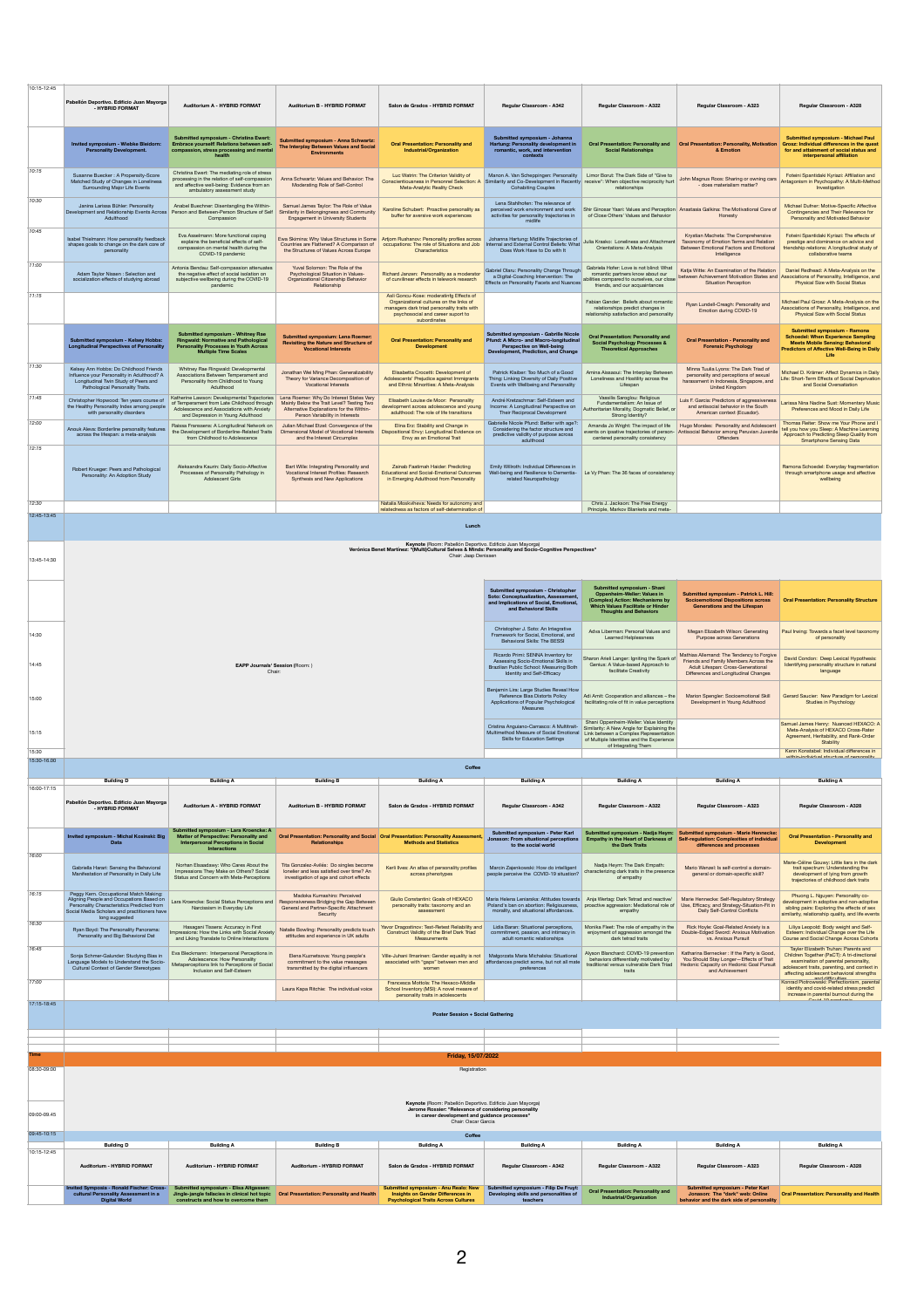| 10:15-12:45          |                                                                                                                                                                                                    |                                                                                                                                                                             |                                                                                                                                   |                                                                                                                                                                                        |                                                                                                                                                     |                                                                                                                                                                                                   |                                                                                                                                                                  |                                                                                                                                                                                                                          |
|----------------------|----------------------------------------------------------------------------------------------------------------------------------------------------------------------------------------------------|-----------------------------------------------------------------------------------------------------------------------------------------------------------------------------|-----------------------------------------------------------------------------------------------------------------------------------|----------------------------------------------------------------------------------------------------------------------------------------------------------------------------------------|-----------------------------------------------------------------------------------------------------------------------------------------------------|---------------------------------------------------------------------------------------------------------------------------------------------------------------------------------------------------|------------------------------------------------------------------------------------------------------------------------------------------------------------------|--------------------------------------------------------------------------------------------------------------------------------------------------------------------------------------------------------------------------|
|                      | Pabellón Deportivo. Edificio Juan Mayorga<br><b>HYBRID FORMAT</b>                                                                                                                                  | Auditorium A - HYBRID FORMAT                                                                                                                                                | Auditorium B - HYBRID FORMAT                                                                                                      | Salon de Grados - HYBRID FORMAT                                                                                                                                                        | Regular Classroom - A342                                                                                                                            | Regular Classroom - A322                                                                                                                                                                          | Regular Classroom - A323                                                                                                                                         | Regular Classroom - A328                                                                                                                                                                                                 |
|                      | Invited symposium - Wiebke Bleidorn:<br><b>Personality Development.</b>                                                                                                                            | Submitted symposium - Christina Ewert:<br>Embrace yourself! Relations between self-<br>compassion, stress processing and mental                                             | Submitted symposium - Anna Schwartz:<br>The Interplay Between Values and Social<br><b>Environments</b>                            | <b>Oral Presentation: Personality and</b><br>Industrial/Organization                                                                                                                   | Submitted symposium - Johanna<br>Hartung: Personality development in<br>romantic, work, and intervention<br>contexts                                | <b>Social Relationships</b>                                                                                                                                                                       | Oral Presentation: Personality and    Qral Presentation: Personality, Motivation<br>& Emotion                                                                    | Submitted symposium - Michael Paul<br>Grosz: Individual differences in the quest<br>for and attainment of social status and<br>interpersonal affiliation                                                                 |
| 10:15                | Susanne Buecker : A Propensity-Score<br>Matched Study of Changes in Loneliness<br>Surrounding Major Life Events                                                                                    | Christina Ewert: The mediating role of stress<br>processing in the relation of self-compassion<br>and affective well-being: Evidence from an<br>ambulatory assessment study | Anna Schwartz: Values and Rehavior: The<br>Moderating Role of Self-Control                                                        | Luc Watrin: The Criterion Validity of<br>Conscientiousness in Personnel Selection: /<br>Meta-Analytic Reality Check                                                                    | Manon A. Van Scheppingen: Personality<br>Similarity and Co-Development in Recently<br><b>Cohabiting Couples</b>                                     | Limor Borut: The Dark Side of "Give to<br>receive*: When objective reciprocity hurt<br>relationships                                                                                              | John Magnus Roos: Sharing or owning cars<br>- does materialism matter?                                                                                           | Foteini Spantidaki Kyriazi: Affiliation and<br>ntagonism in Psychopathy: A Multi-Method<br>Investigation                                                                                                                 |
| 10:30                | Janina Larissa Bühler: Personality<br>Development and Relationship Events Across<br>Adulthood                                                                                                      | Anabel Buechner: Disentangling the Within-<br>Person and Between-Person Structure of Self<br>Compassion                                                                     | Samuel James Taylor: The Role of Value<br>Similarity in Belongingness and Community<br>Engagement in University Students          | Karoline Schubert: Proactive personality as<br>buffer for aversive work experiences                                                                                                    | Lena Stahlhofen: The relevance of<br>perceived work environment and work<br>activities for personality trajectories in                              | of Close Others' Values and Behavior                                                                                                                                                              | Shir Ginosar Yaari: Values and Perception Anastasia Galkina: The Motivational Core of<br>Honesty                                                                 | Michael Dufner: Motive-Specific Affective<br>Contingencies and Their Relevance for<br>Personality and Motivated Behavior                                                                                                 |
| 10:45                | Isabel Thielmann: How personality feedback<br>shapes goals to change on the dark core of<br>perso<br>nality                                                                                        | Eva Asselmann: More functional coping<br>explains the beneficial effects of self-<br>compassion on mental health during the<br>COVID-19 pandemic                            | Ewa Skimina: Why Value Structures in Some<br>Countries are Flattened? A Comparison of<br>the Structures of Values Across Europe   | Artiom Rushanov: Personality profiles across<br>occupations: The role of Situations and Job<br>Characteristics                                                                         | Johanna Hartung: Midlife Trajectories of<br>nternal and External Control Beliefs: What<br>Does Work Have to Do with It                              | Julia Krasko: Loneliness and Attachment<br>Orientations: A Meta-Analysis                                                                                                                          | Krystian Macheta: The Comprehensive<br>Taxonomy of Emotion Terms and Relation<br>Between Emotional Factors and Emotional<br>Intelligence                         | Foteini Spantidaki Kyriazi: The effects of<br>prestige and dominance on advice and<br>friendship relations: A longitudinal study of<br>collaborative teams                                                               |
| 11:00                | Adam Taylor Nissen : Selection and<br>socialization effects of studying abroad                                                                                                                     | Antonia Bendau: Self-compassion attenuates<br>the negative effect of social isolation on<br>subjective wellbeing during the COVID-19<br>nandemi                             | Yuval Solomon: The Role of the<br>Psychological Situation in Values-<br>Organizational Citizenship Behavior<br>Relationship       | Bichard Janzen: Personality as a moderator<br>of curvilinear effects in telework research                                                                                              | Gabriel Olaru: Personality Change Through<br>a Digital-Coaching Intervention: The<br>Effects on Personality Facets and Nuances                      | Gabriela Hofer: Love is not blind: What<br>romantic partners know about our<br>abilities compared to ourselves, our close<br>friends, and our acquaintances                                       | Katja Witte: An Examination of the Relation<br>between Achievement Motivation States and<br>Situation Percention                                                 | Daniel Redhead: A Meta-Analysis on the<br>ssociations of Personality, Intelligence, and<br>Physical Size with Social Status                                                                                              |
| 11:15                |                                                                                                                                                                                                    |                                                                                                                                                                             |                                                                                                                                   | Asli Goncu-Kose: moderatinfo Effects of<br>Organizational cultures on the links of<br>managers dark triad personality traits with<br>psychosocial and career suport to<br>subordinates |                                                                                                                                                     | Fahian Gander: Beliefs about romantic<br>relationships predict changes in<br>relationship satisfaction and personality                                                                            | Ryan Lundell-Creagh: Personality and<br>Emotion during COVID-19                                                                                                  | Michael Paul Grosz: A Meta-Analysis on the<br>Associations of Personality, Intelligence, and<br>Physical Size with Social Status                                                                                         |
|                      | Submitted symposium - Kelsey Hobbs:<br><b>Longitudinal Perspectives of Personality</b>                                                                                                             | Submitted symposium - Whitney Rae<br>Ringwald: Normative and Pathological<br><b>Personality Processes in Youth Across</b><br><b>Multiple Time Scales</b>                    | <b>Submitted symposium: Lena Roemer,</b><br><b>Revisiting the Nature and Structure of</b><br><b>Vocational Interests</b>          | <b>Oral Presentation: Personality and</b><br>Development                                                                                                                               | Submitted symposium - Gabrille Nicole<br>Pfund: A Micro- and Macro-longitudinal<br>Perspective on Well-being<br>Development, Prediction, and Change | <b>Oral Presentation: Personality and</b><br>Social Psychology Processes &<br><b>Theoretical Approaches</b>                                                                                       | <b>Oral Presentation - Personality and</b><br><b>Forensic Psychology</b>                                                                                         | Submitted symposium - Ramona<br><b>Schoedel: When Experience Sampling<br/>Meets Mobile Sensing: Behavioral</b><br>Predictors of Affective Well-Being in Daily<br>Life                                                    |
| 11:30                | Kelsey Ann Hobbs: Do Childhood Friends<br>Influence your Personality in Adulthood? A Longitudinal Twin Study of Peers and<br>Pathological Personality Traits.                                      | Whitney Rae Ringwald: Developmental<br>Associations Between Temperament and<br>Personality from Childhood to Young<br>Adulthood                                             | Jonathan Wei Ming Phan: Generalizability<br>Theory for Variance Decomposition of<br>Vocational Interests                          | Elisabetta Crocetti: Development of<br>Adolescents' Prejudice against Immigrants<br>and Ethnic Minorities: A Meta-Analysis                                                             | Patrick Klaiber: Too Much of a Good<br>Thing: Linking Diversity of Daily Positive<br>Events with Wellbeing and Personality                          | Amina Aissaoui: The Interplay Between<br>Loneliness and Hostility across the<br>Lifespan                                                                                                          | Minna Tuulia Lyons: The Dark Triad of<br>personality and perceptions of sexual<br>harassment in Indonesia, Singapore, and<br><b>United Kingdom</b>               | Michael D. Krämer: Affect Dynamics in Daily<br>Life: Short-Term Effects of Social Deprivation<br>and Social Oversatiation                                                                                                |
| 11.45                | Christopher Hopwood: Ten years course of<br>the Healthy Personality Index among people                                                                                                             | Katherina I gwenn: Deuelonmental Trajentories<br>of Temperament from Late Childhood through<br>Adolescence and Associations with Anxiety                                    | I ena Roemer: Why Do Interest States Van<br>Mainly Below the Trait Level? Testing Two<br>Alternative Explanations for the Within- | Elisabeth Louise de Moor: Personality<br>development across adolescence and young                                                                                                      | André Kretzschmar: Self-Esteem and<br>Income: A Longitudinal Perspective on                                                                         | Vassilis Saroglou: Religious<br>Fundamentalism: An Issue of<br>Authoritarian Morality, Dogmatic Belief, or                                                                                        | Luis F. Garcia: Predictors of aggressiveness<br>and antisocial behavior in the South                                                                             | Larissa Nina Nadine Sust: Momentary Music<br>Preferences and Mood in Daily Life                                                                                                                                          |
| 12:00                | with personality disorders                                                                                                                                                                         | and Depression in Young Adulthood<br>Raissa Franssens: A Longitudinal Network on                                                                                            | Person Variability in Interests<br>Julian Michael Etzel: Convergence of the                                                       | adulthood: The role of life transitions<br>Elina Erz: Stability and Change in                                                                                                          | Their Reciprocal Development<br>Gahrielle Nicole Pfund: Better with age?                                                                            | Strong Identity?<br>Amanda Jo Wright: The impact of life                                                                                                                                          | American context (Ecuador).<br>Hugo Morales: Personality and Adolescent                                                                                          | Thomas Reiter: Show me Your Phone and I                                                                                                                                                                                  |
| 12:15                | Anouk Aleva: Borderline personality features<br>across the lifespan: a meta-analysis                                                                                                               | the Development of Borderline-Related Traits<br>from Childhood to Adolescence                                                                                               | Dimensional Model of Vocational Interests<br>and the Interest Circumplex                                                          | Dispositional Envy: Longitudinal Evidence on<br>Envy as an Emotional Trait                                                                                                             | Considering the factor structure and<br>predictive validity of purpose across<br>adulthood                                                          | events on insative trajectories of nerson-<br>centered personality consistency                                                                                                                    | Antisocial Behavior among Pennian Juvenile<br>Offenders                                                                                                          | tell you how you Sleep: A Machine Learning<br>Approach to Predicting Sleep Quality from<br>Smartphone Sensing Data                                                                                                       |
|                      | Robert Krueger: Peers and Pathological<br>Personality: An Adoption Study                                                                                                                           | Aleksandra Kaurin: Daily Socio-Affective<br>Processes of Personality Pathology in<br>Adolescent Girls                                                                       | Bart Wille: Integrating Personality and<br>Vocational Interest Profiles: Research<br>Synthesis and New Annlications               | Zainab Faatimah Haider: Predicting<br>Educational and Social-Emotional Outcomes<br>in Emerging Adulthood from Personality                                                              | Emily Willroth: Individual Differences in<br>Well-being and Resilience to Dementia-<br>related Neuropathology                                       | Le Vy Phan: The 36 faces of consistency                                                                                                                                                           |                                                                                                                                                                  | <b>Barnona Schoedel: Everyday fragmentation</b><br>through smartphone usage and affective<br>wellbeing                                                                                                                   |
| 12:30                |                                                                                                                                                                                                    |                                                                                                                                                                             |                                                                                                                                   | Natalia Moskyiheva: Needs for autonomy and<br>relatedness as factors of self-determination of                                                                                          |                                                                                                                                                     | Chris J. Jackson: The Free Energy<br>Principle, Markov Blankets and meta-                                                                                                                         |                                                                                                                                                                  |                                                                                                                                                                                                                          |
| 12:45-13:45          |                                                                                                                                                                                                    |                                                                                                                                                                             |                                                                                                                                   | Lunch                                                                                                                                                                                  |                                                                                                                                                     |                                                                                                                                                                                                   |                                                                                                                                                                  |                                                                                                                                                                                                                          |
|                      |                                                                                                                                                                                                    |                                                                                                                                                                             |                                                                                                                                   | Keynote (Room: Pabellón Deportivo, Edificio Juan Mayorga)                                                                                                                              |                                                                                                                                                     |                                                                                                                                                                                                   |                                                                                                                                                                  |                                                                                                                                                                                                                          |
| 13:45-14:30          |                                                                                                                                                                                                    |                                                                                                                                                                             |                                                                                                                                   | Verónica Benet Martínez: "(Multi)Cultural Selves & Minds: Personality and Socio-Cognitive Perspectives'<br>Chair: Jaap Denisser                                                        |                                                                                                                                                     |                                                                                                                                                                                                   |                                                                                                                                                                  |                                                                                                                                                                                                                          |
|                      |                                                                                                                                                                                                    |                                                                                                                                                                             |                                                                                                                                   |                                                                                                                                                                                        |                                                                                                                                                     |                                                                                                                                                                                                   |                                                                                                                                                                  |                                                                                                                                                                                                                          |
|                      |                                                                                                                                                                                                    |                                                                                                                                                                             |                                                                                                                                   |                                                                                                                                                                                        | Submitted symposium - Christophe<br>Soto: Conceptualization, Assessment,<br>and Implications of Social, Emotio<br>and Behavioral Skills             | Submitted symposium - Shani<br>eller: Values in<br>Oppenheim-W<br>(Complex) Action: Mechanisms by<br>Which Values Facilitate or Hinder<br><b>Thoughts and Behaviors</b>                           | Submitted symposium - Patrick L. Hill:<br>Socioemotional Dispositions across<br>Generations and the Lifespan                                                     | <b>Oral Presentation: Personality Structure</b>                                                                                                                                                                          |
| 14:30                |                                                                                                                                                                                                    |                                                                                                                                                                             |                                                                                                                                   |                                                                                                                                                                                        | Christopher J. Soto: An Integrative<br>Framework for Social, Emotional, and<br>Behavioral Skills: The BESSI                                         | Adva Liberman: Personal Values and<br>Learned Helplessness                                                                                                                                        | Megan Elizabeth Wilson: Generating<br>Purpose across Generations                                                                                                 | Paul Irwing: Towards a facet level taxonomy<br>of personality                                                                                                                                                            |
| 14:45                |                                                                                                                                                                                                    | EAPP Journals' Session (Room: )<br>Chair:                                                                                                                                   |                                                                                                                                   |                                                                                                                                                                                        | Ricardo Primi: SENNA Inventory for<br>Assessing Socio-Emotional Skills in<br>Brazilian Public School: Measuring Both<br>Identity and Self-Efficacy  | Sharon Arieli Langer: Igniting the Spark of<br>Genius: A Value-based Approach to<br>facilitate Creativity                                                                                         | Mathias Allemand: The Tendency to Forgive<br>Friends and Family Members Across the<br>Adult Lifespan: Cross-Generational<br>Differences and Longitudinal Changes | David Condon: Deep Lexical Hypothesis<br>Identifying personality structure in natural<br>language                                                                                                                        |
| 15:00                |                                                                                                                                                                                                    |                                                                                                                                                                             |                                                                                                                                   |                                                                                                                                                                                        | Benjamin Lira: Large Studies Reveal How<br>Reference Bias Distorts Policy<br>Applications of Popular Psychological                                  | Adi Amit: Cooperation and alliances - the<br>facilitating role of fit in value perceptions.                                                                                                       | Marion Spengler: Socioemotional Skill<br>Development in Young Adulthood                                                                                          | Gerard Saucier: New Paradigm for Lexical<br>Studies in Psychology                                                                                                                                                        |
| 15:15                |                                                                                                                                                                                                    |                                                                                                                                                                             |                                                                                                                                   |                                                                                                                                                                                        | Cristina Anguiano-Carrasco: A Multitrait-<br>Multimethod Measure of Social Emotional<br>Skills for Education Settings                               | Shani Oppenheim-Weller: Value Identity<br>Similarity: A New Angle for Explaining the<br>Link between a Complex Representation<br>of Multiple Identities and the Experience<br>of Integrating Them |                                                                                                                                                                  | Samuel James Henry: Nuanced HEXACO: A<br>Meta-Analysis of HEXACO Cross-Rater<br>Agreement, Heritability, and Rank-Order<br>Stability                                                                                     |
| 15:30<br>15:30-16.00 |                                                                                                                                                                                                    |                                                                                                                                                                             |                                                                                                                                   |                                                                                                                                                                                        |                                                                                                                                                     |                                                                                                                                                                                                   |                                                                                                                                                                  | Kenn Konstabel: Individual differences in                                                                                                                                                                                |
|                      | <b>Building D</b>                                                                                                                                                                                  | <b>Building A</b>                                                                                                                                                           | <b>Building B</b>                                                                                                                 | Coffee<br><b>Building A</b>                                                                                                                                                            | <b>Building A</b>                                                                                                                                   | <b>Building A</b>                                                                                                                                                                                 | <b>Building A</b>                                                                                                                                                | <b>Building A</b>                                                                                                                                                                                                        |
| 16:00-17:15          | Pabellón Deportivo. Edificio Juan Mayorga                                                                                                                                                          |                                                                                                                                                                             |                                                                                                                                   |                                                                                                                                                                                        |                                                                                                                                                     |                                                                                                                                                                                                   |                                                                                                                                                                  |                                                                                                                                                                                                                          |
|                      | <b>HYBRID FORMAT</b>                                                                                                                                                                               | Auditorium A - HYBRID FORMAT<br>Submitted symposium - Lara Kroencke: A                                                                                                      | Auditorium B - HYBRID FORMAT                                                                                                      | Salon de Grados - HYBRID FORMAT                                                                                                                                                        | Regular Classroom - A342<br>Submitted symposium - Peter Karl                                                                                        | Regular Classroom - A322                                                                                                                                                                          | Regular Classroom - A323<br>Submitted symposium - Nadja Heym: Submitted symposium - Marie Hennecke:                                                              | Regular Classroom - A328                                                                                                                                                                                                 |
|                      | Invited symposium - Michal Kosinski: Big<br>Data                                                                                                                                                   | Matter of Perspective: Personality and<br><b>Interpersonal Perceptions in Social</b><br><b>Interactions</b>                                                                 | Oral Presentation: Personality and Social Oral Presentation: Personality Assessme<br>Relationships                                | <b>Methods and Statistics</b>                                                                                                                                                          | Jonason: From situational perceptions<br>to the social world                                                                                        | the Dark Traits                                                                                                                                                                                   | Empathy in the Heart of Darkness of Self-regulation: Complexities of individual<br>differences and processes                                                     | <b>Oral Presentation - Personality and</b><br>Development                                                                                                                                                                |
| 16:00                | Gabriella Harari: Sensing the Behavioral<br>Manifestation of Personality in Daily Life                                                                                                             | Norhan Flsaadawy: Who Cares About the<br>Impressions They Make on Others? Social<br>Status and Concern with Meta-Perceptions                                                | Tita Gonzalez-Avilés: Do singles become<br>lonelier and less satisfied over time? A<br>investigation of age and cohort effects    | Kerli Ilves: An atlas of personality profiles<br>across phenotypes                                                                                                                     | Marcin Zajenkowski: How do intelligent<br>people perceive the COVID-19 situation?                                                                   | Nadia Heym: The Dark Empath:<br>characterizing dark traits in the presence<br>of empathy                                                                                                          | Mario Wenzel: ls self-control a domain-<br>general or domain-specific skill?                                                                                     | Marie-Céline Gouwy: Little liars in the dark<br>trait spectrum: Understanding the<br>development of lying from growth<br>trajectories of childhood dark traits                                                           |
| 16:15                | Peggy Kern. Occupational Match Making:<br>Aligning People and Occupations Based on<br>Personality Characteristics Predicted from<br>Social Media Scholars and practitioners have<br>long suggested | Lara Kroencke: Social Status Perceptions and<br>Narcissism in Everyday Life                                                                                                 | Madoka Kumashiro: Perceived<br>Responsiveness Bridging the Gap Between<br>General and Partner-Specific Attachment<br>Security     | Giulio Constantini: Goals of HEXACO<br>personality traits: taxonomy and an<br>assessment                                                                                               | Maria Helena Leniarska: Attitudes towards<br>Poland's ban on abortion: Religiousness,<br>morality, and situational affordances.                     | Anja Wertag: Dark Tetrad and reactive/<br>proactive aggression: Mediational role of<br>empathy                                                                                                    | Marie Hennecke: Self-Regulatory Strategy<br>Use, Efficacy, and Strategy-Situation-Fit in<br>Daily Self-Control Conflicts                                         | Phuong L. Nguyen: Personality co-<br>development in adoptive and non-adoptive<br>sibling pairs: Exploring the effects of sex<br>similarity, relationship quality, and life events                                        |
| 16:30                | Ryan Boyd: The Personality Panorama:<br>Personality and Big Behavioral Dat                                                                                                                         | Hasagani Tissera: Accuracy in First<br>Impressions: How the Links with Social Anxiety<br>and Liking Translate to Online Interactions                                        | Natalie Bowling: Personality predicts touch<br>attitudes and experience in UK adults                                              | Yavor Dragostinov: Test-Retest Reliability and<br>Construct Validity of the Brief Dark Triad<br>Measurements                                                                           | Lidia Baran: Situational perceptions,<br>commitment, passion, and intimacy in<br>adult romantic relationships                                       | Monika Fleet: The role of empathy in the<br>enjoyment of aggression amongst the<br>dark tetrad traits                                                                                             | Rick Hoyle: Goal-Related Anxiety is a<br>Double-Edged Sword: Anxious Motivation<br>vs. Anxious Pursuit                                                           | Liliva Leopold: Body weight and Self-<br>Esteem: Individual Change over the Life<br>Course and Social Change Across Cohorts                                                                                              |
| 16:45                | Sonia Schmer-Galunder: Studving Bias in<br>Language Models to Understand the Socio-<br>Cultural Context of Gender Stereotypes                                                                      | Eva Bleckmann: Interpersonal Perceptions in<br>Adolescence: How Personality<br>Metaperceptions link to Perceptions of Social<br>Inclusion and Self-Esteem                   | Elena Kuznetsova: Young people's<br>commitment to the value messages<br>transmitted by the digital influencers                    | Ville-Juhani Ilmarinen: Gender equality is not<br>associated with "gaps" between men and<br>women                                                                                      | Malgorzata Maria Michalska: Situational<br>affordances predict some, but not all mate<br>preferences                                                | Alyson Blanchard: COVID-19 prevention<br>behaviors differentially motivated by<br>traditional versus vulnerable Dark Triad<br>traits                                                              | Katharina Bernecker : If the Party is Good,<br>You Should Stay Longer-Effects of Trait<br>Hedonic Capacity on Hedonic Goal Pursuit<br>and Achievement            | Tayler Elizabeth Truhan: Parents and<br>Children Together (PaCT): A tri-directional<br>examination of parental personality,<br>adolescent traits, parenting, and context in<br>affecting adolescent behavioral strengths |
| 17:00                |                                                                                                                                                                                                    |                                                                                                                                                                             | Laura Kapa Ritchie: The individual voice                                                                                          | Francesca Mottola: The Hexaco-Middle<br>School Inventory (MSI): A novel measre of<br>personality traits in adolescents                                                                 |                                                                                                                                                     |                                                                                                                                                                                                   |                                                                                                                                                                  | Konrad Piotrowwski: Perfectionism, parenta<br>identity and covid-related stress predict<br>increase in parental burnout during the<br>$\frac{1}{2}$                                                                      |
| 17:15-18:45          |                                                                                                                                                                                                    |                                                                                                                                                                             |                                                                                                                                   | Poster Session + Social Gathering                                                                                                                                                      |                                                                                                                                                     |                                                                                                                                                                                                   |                                                                                                                                                                  |                                                                                                                                                                                                                          |
|                      |                                                                                                                                                                                                    |                                                                                                                                                                             |                                                                                                                                   |                                                                                                                                                                                        |                                                                                                                                                     |                                                                                                                                                                                                   |                                                                                                                                                                  |                                                                                                                                                                                                                          |
|                      |                                                                                                                                                                                                    |                                                                                                                                                                             |                                                                                                                                   | Friday, 15/07/2022                                                                                                                                                                     |                                                                                                                                                     |                                                                                                                                                                                                   |                                                                                                                                                                  |                                                                                                                                                                                                                          |
| 08:30-09:00          |                                                                                                                                                                                                    |                                                                                                                                                                             |                                                                                                                                   | Registration                                                                                                                                                                           |                                                                                                                                                     |                                                                                                                                                                                                   |                                                                                                                                                                  |                                                                                                                                                                                                                          |
|                      |                                                                                                                                                                                                    |                                                                                                                                                                             |                                                                                                                                   |                                                                                                                                                                                        |                                                                                                                                                     |                                                                                                                                                                                                   |                                                                                                                                                                  |                                                                                                                                                                                                                          |
|                      | Keynote (Room: Pabellón Deportivo. Edificio Juan Mayorga)<br>Jerome Rossier: "Relevance of considering personality                                                                                 |                                                                                                                                                                             |                                                                                                                                   |                                                                                                                                                                                        |                                                                                                                                                     |                                                                                                                                                                                                   |                                                                                                                                                                  |                                                                                                                                                                                                                          |
| 09:00-09:45          |                                                                                                                                                                                                    |                                                                                                                                                                             |                                                                                                                                   | in career development and guidance processes"<br>Chair: Oscar Garcia                                                                                                                   |                                                                                                                                                     |                                                                                                                                                                                                   |                                                                                                                                                                  |                                                                                                                                                                                                                          |
| 09:45-10:15          | <b>Building D</b>                                                                                                                                                                                  | <b>Building A</b>                                                                                                                                                           | <b>Building B</b>                                                                                                                 | Coffee<br><b>Building A</b>                                                                                                                                                            | <b>Building A</b>                                                                                                                                   | <b>Building A</b>                                                                                                                                                                                 | <b>Building A</b>                                                                                                                                                | <b>Building A</b>                                                                                                                                                                                                        |
| 10:15-12:45          | Auditorium - HYBRID FORMAT                                                                                                                                                                         | Auditorium - HYBRID FORMAT                                                                                                                                                  | Auditorium - HYRRID FORMAT                                                                                                        | Salon de Grados - HYBRID FORMAT                                                                                                                                                        |                                                                                                                                                     | Regular Classroom - A322                                                                                                                                                                          |                                                                                                                                                                  | Regular Classroom - A328                                                                                                                                                                                                 |
|                      |                                                                                                                                                                                                    |                                                                                                                                                                             |                                                                                                                                   |                                                                                                                                                                                        | Regular Classroom - A342                                                                                                                            |                                                                                                                                                                                                   | Regular Classroom - A323                                                                                                                                         |                                                                                                                                                                                                                          |
|                      | nvited Symposia - Ronald Fischer: Cross-<br>cultural Personality Assessment in a<br>Digital World                                                                                                  | Submitted symposium - Elisa Altgassen:<br>Jingle-jangle fallacies in clinical hot topic<br>constructs and how to overcome them                                              | <b>Oral Presentation: Personality and Health</b>                                                                                  | Submitted symposium - Anu Realo: New<br><b>Insights on Gender Differences in</b><br><b>Psychological Traits Across Cultures</b>                                                        | Submitted symposium - Filip De Fruyt:<br>Developing skills and pers<br>teachers                                                                     | <b>Oral Presentation: Personality and</b><br>Industrial/Organization                                                                                                                              | Submitted symposium - Peter Karl<br>Jonason: The "dark" web: Online<br>behavior and the dark side of personality                                                 | <b>Oral Presentation: Personality and Health</b>                                                                                                                                                                         |
|                      |                                                                                                                                                                                                    |                                                                                                                                                                             |                                                                                                                                   |                                                                                                                                                                                        |                                                                                                                                                     |                                                                                                                                                                                                   |                                                                                                                                                                  |                                                                                                                                                                                                                          |